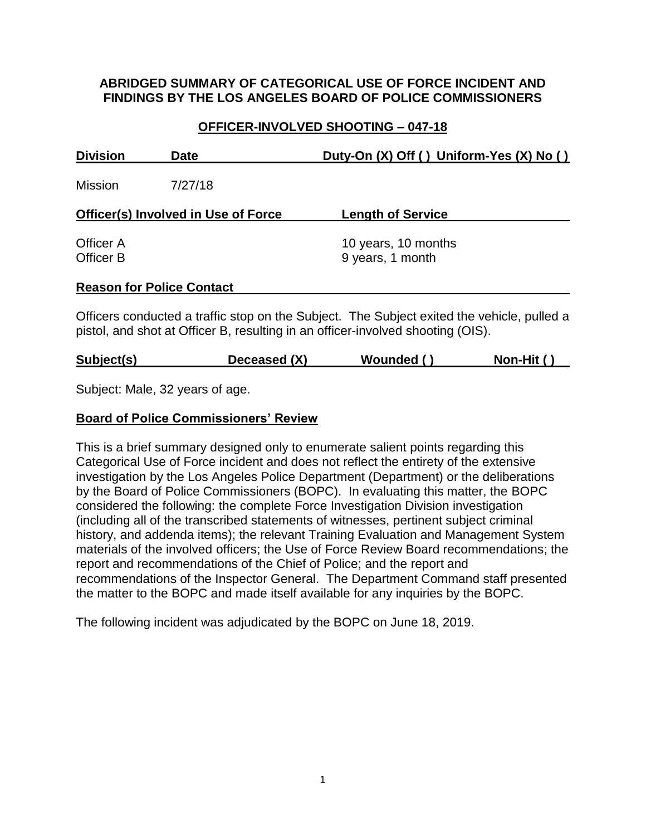### **ABRIDGED SUMMARY OF CATEGORICAL USE OF FORCE INCIDENT AND FINDINGS BY THE LOS ANGELES BOARD OF POLICE COMMISSIONERS**

# **OFFICER-INVOLVED SHOOTING – 047-18**

| <b>Division</b>                            | <b>Date</b>                      | Duty-On (X) Off () Uniform-Yes (X) No () |
|--------------------------------------------|----------------------------------|------------------------------------------|
| <b>Mission</b>                             | 7/27/18                          |                                          |
| <b>Officer(s) Involved in Use of Force</b> |                                  | <b>Length of Service</b>                 |
| Officer A<br>Officer B                     |                                  | 10 years, 10 months<br>9 years, 1 month  |
|                                            | <b>Reason for Police Contact</b> |                                          |

Officers conducted a traffic stop on the Subject. The Subject exited the vehicle, pulled a pistol, and shot at Officer B, resulting in an officer-involved shooting (OIS).

| Deceased (X)<br>Subject(s)<br>Wounded () | Non-Hit () |
|------------------------------------------|------------|
|------------------------------------------|------------|

Subject: Male, 32 years of age.

#### **Board of Police Commissioners' Review**

This is a brief summary designed only to enumerate salient points regarding this Categorical Use of Force incident and does not reflect the entirety of the extensive investigation by the Los Angeles Police Department (Department) or the deliberations by the Board of Police Commissioners (BOPC). In evaluating this matter, the BOPC considered the following: the complete Force Investigation Division investigation (including all of the transcribed statements of witnesses, pertinent subject criminal history, and addenda items); the relevant Training Evaluation and Management System materials of the involved officers; the Use of Force Review Board recommendations; the report and recommendations of the Chief of Police; and the report and recommendations of the Inspector General. The Department Command staff presented the matter to the BOPC and made itself available for any inquiries by the BOPC.

The following incident was adjudicated by the BOPC on June 18, 2019.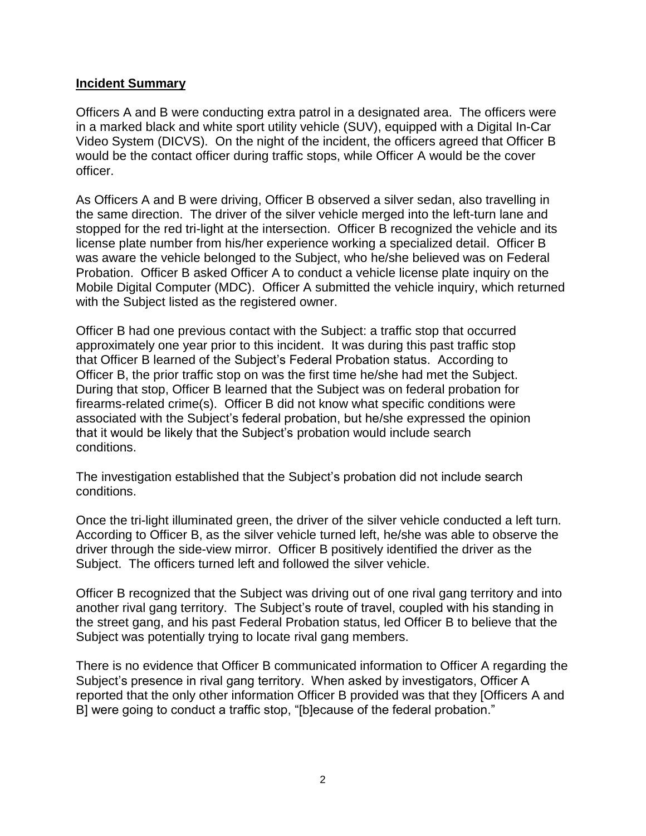#### **Incident Summary**

Officers A and B were conducting extra patrol in a designated area. The officers were in a marked black and white sport utility vehicle (SUV), equipped with a Digital In-Car Video System (DICVS). On the night of the incident, the officers agreed that Officer B would be the contact officer during traffic stops, while Officer A would be the cover officer.

As Officers A and B were driving, Officer B observed a silver sedan, also travelling in the same direction. The driver of the silver vehicle merged into the left-turn lane and stopped for the red tri-light at the intersection. Officer B recognized the vehicle and its license plate number from his/her experience working a specialized detail. Officer B was aware the vehicle belonged to the Subject, who he/she believed was on Federal Probation. Officer B asked Officer A to conduct a vehicle license plate inquiry on the Mobile Digital Computer (MDC). Officer A submitted the vehicle inquiry, which returned with the Subject listed as the registered owner.

Officer B had one previous contact with the Subject: a traffic stop that occurred approximately one year prior to this incident. It was during this past traffic stop that Officer B learned of the Subject's Federal Probation status. According to Officer B, the prior traffic stop on was the first time he/she had met the Subject. During that stop, Officer B learned that the Subject was on federal probation for firearms-related crime(s). Officer B did not know what specific conditions were associated with the Subject's federal probation, but he/she expressed the opinion that it would be likely that the Subject's probation would include search conditions.

The investigation established that the Subject's probation did not include search conditions.

Once the tri-light illuminated green, the driver of the silver vehicle conducted a left turn. According to Officer B, as the silver vehicle turned left, he/she was able to observe the driver through the side-view mirror. Officer B positively identified the driver as the Subject. The officers turned left and followed the silver vehicle.

Officer B recognized that the Subject was driving out of one rival gang territory and into another rival gang territory. The Subject's route of travel, coupled with his standing in the street gang, and his past Federal Probation status, led Officer B to believe that the Subject was potentially trying to locate rival gang members.

There is no evidence that Officer B communicated information to Officer A regarding the Subject's presence in rival gang territory. When asked by investigators, Officer A reported that the only other information Officer B provided was that they [Officers A and B] were going to conduct a traffic stop, "[b]ecause of the federal probation."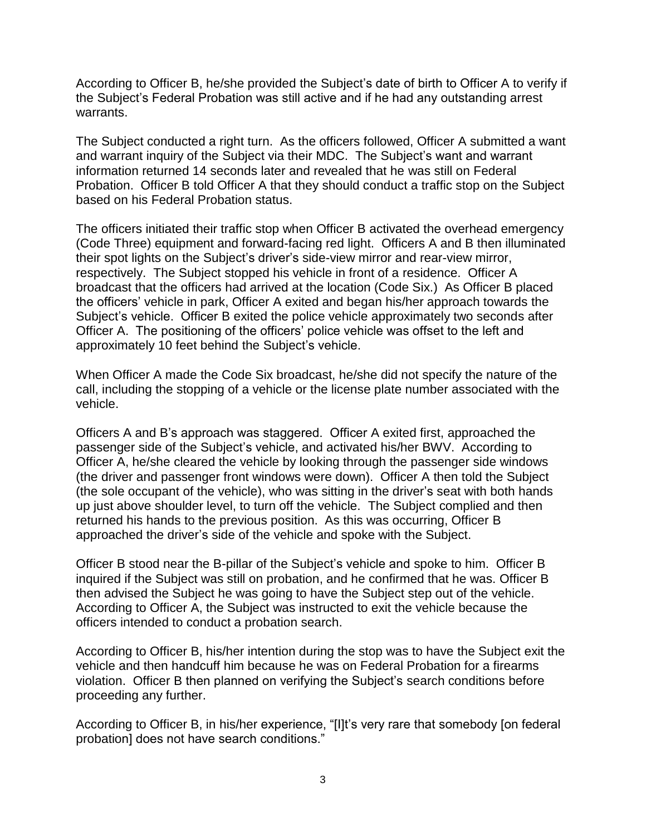According to Officer B, he/she provided the Subject's date of birth to Officer A to verify if the Subject's Federal Probation was still active and if he had any outstanding arrest warrants.

The Subject conducted a right turn. As the officers followed, Officer A submitted a want and warrant inquiry of the Subject via their MDC. The Subject's want and warrant information returned 14 seconds later and revealed that he was still on Federal Probation. Officer B told Officer A that they should conduct a traffic stop on the Subject based on his Federal Probation status.

The officers initiated their traffic stop when Officer B activated the overhead emergency (Code Three) equipment and forward-facing red light. Officers A and B then illuminated their spot lights on the Subject's driver's side-view mirror and rear-view mirror, respectively. The Subject stopped his vehicle in front of a residence. Officer A broadcast that the officers had arrived at the location (Code Six.) As Officer B placed the officers' vehicle in park, Officer A exited and began his/her approach towards the Subject's vehicle. Officer B exited the police vehicle approximately two seconds after Officer A. The positioning of the officers' police vehicle was offset to the left and approximately 10 feet behind the Subject's vehicle.

When Officer A made the Code Six broadcast, he/she did not specify the nature of the call, including the stopping of a vehicle or the license plate number associated with the vehicle.

Officers A and B's approach was staggered. Officer A exited first, approached the passenger side of the Subject's vehicle, and activated his/her BWV. According to Officer A, he/she cleared the vehicle by looking through the passenger side windows (the driver and passenger front windows were down). Officer A then told the Subject (the sole occupant of the vehicle), who was sitting in the driver's seat with both hands up just above shoulder level, to turn off the vehicle. The Subject complied and then returned his hands to the previous position. As this was occurring, Officer B approached the driver's side of the vehicle and spoke with the Subject.

Officer B stood near the B-pillar of the Subject's vehicle and spoke to him. Officer B inquired if the Subject was still on probation, and he confirmed that he was. Officer B then advised the Subject he was going to have the Subject step out of the vehicle. According to Officer A, the Subject was instructed to exit the vehicle because the officers intended to conduct a probation search.

According to Officer B, his/her intention during the stop was to have the Subject exit the vehicle and then handcuff him because he was on Federal Probation for a firearms violation. Officer B then planned on verifying the Subject's search conditions before proceeding any further.

According to Officer B, in his/her experience, "[I]t's very rare that somebody [on federal probation] does not have search conditions."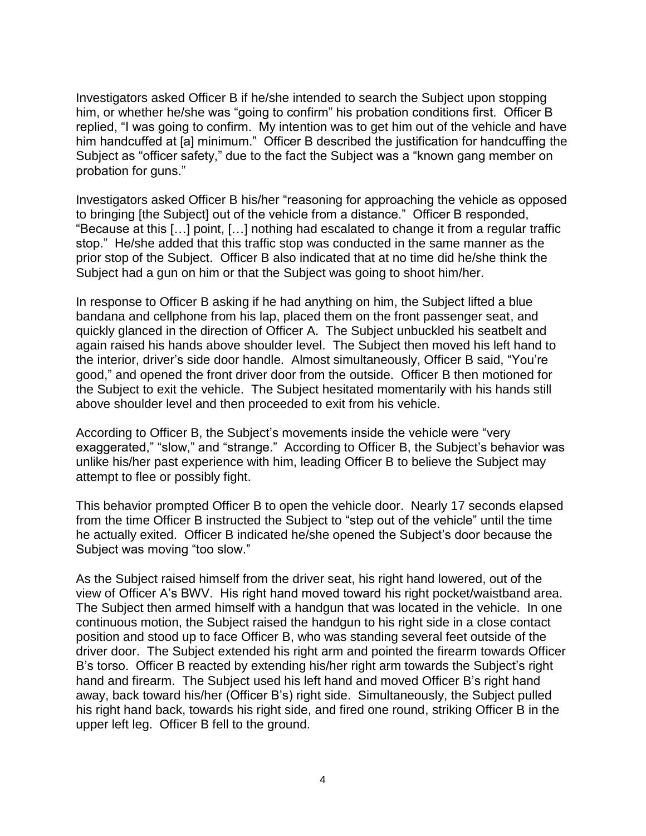Investigators asked Officer B if he/she intended to search the Subject upon stopping him, or whether he/she was "going to confirm" his probation conditions first. Officer B replied, "I was going to confirm. My intention was to get him out of the vehicle and have him handcuffed at [a] minimum." Officer B described the justification for handcuffing the Subject as "officer safety," due to the fact the Subject was a "known gang member on probation for guns."

Investigators asked Officer B his/her "reasoning for approaching the vehicle as opposed to bringing [the Subject] out of the vehicle from a distance." Officer B responded, "Because at this […] point, […] nothing had escalated to change it from a regular traffic stop." He/she added that this traffic stop was conducted in the same manner as the prior stop of the Subject. Officer B also indicated that at no time did he/she think the Subject had a gun on him or that the Subject was going to shoot him/her.

In response to Officer B asking if he had anything on him, the Subject lifted a blue bandana and cellphone from his lap, placed them on the front passenger seat, and quickly glanced in the direction of Officer A. The Subject unbuckled his seatbelt and again raised his hands above shoulder level. The Subject then moved his left hand to the interior, driver's side door handle. Almost simultaneously, Officer B said, "You're good," and opened the front driver door from the outside. Officer B then motioned for the Subject to exit the vehicle. The Subject hesitated momentarily with his hands still above shoulder level and then proceeded to exit from his vehicle.

According to Officer B, the Subject's movements inside the vehicle were "very exaggerated," "slow," and "strange." According to Officer B, the Subject's behavior was unlike his/her past experience with him, leading Officer B to believe the Subject may attempt to flee or possibly fight.

This behavior prompted Officer B to open the vehicle door. Nearly 17 seconds elapsed from the time Officer B instructed the Subject to "step out of the vehicle" until the time he actually exited. Officer B indicated he/she opened the Subject's door because the Subject was moving "too slow."

As the Subject raised himself from the driver seat, his right hand lowered, out of the view of Officer A's BWV. His right hand moved toward his right pocket/waistband area. The Subject then armed himself with a handgun that was located in the vehicle. In one continuous motion, the Subject raised the handgun to his right side in a close contact position and stood up to face Officer B, who was standing several feet outside of the driver door. The Subject extended his right arm and pointed the firearm towards Officer B's torso. Officer B reacted by extending his/her right arm towards the Subject's right hand and firearm. The Subject used his left hand and moved Officer B's right hand away, back toward his/her (Officer B's) right side. Simultaneously, the Subject pulled his right hand back, towards his right side, and fired one round, striking Officer B in the upper left leg. Officer B fell to the ground.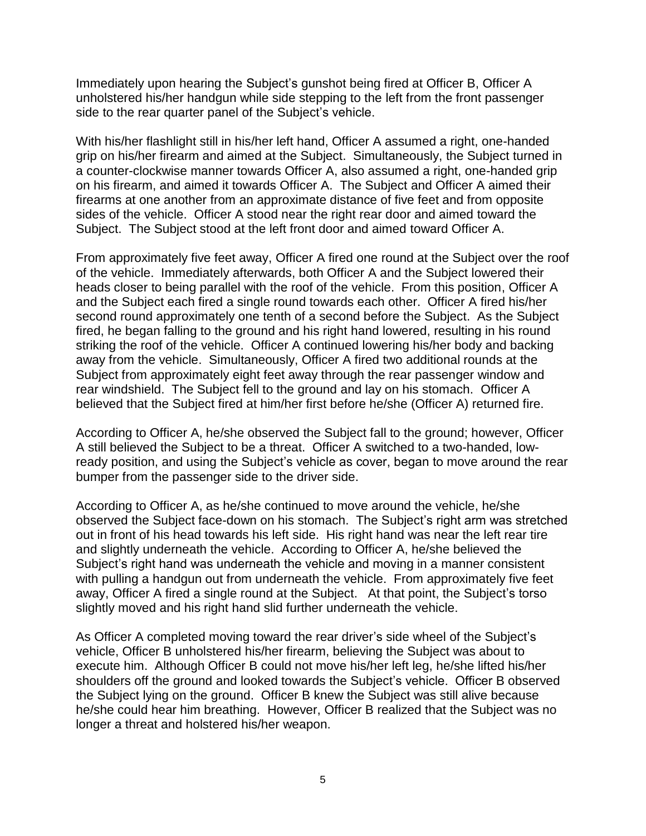Immediately upon hearing the Subject's gunshot being fired at Officer B, Officer A unholstered his/her handgun while side stepping to the left from the front passenger side to the rear quarter panel of the Subject's vehicle.

With his/her flashlight still in his/her left hand, Officer A assumed a right, one-handed grip on his/her firearm and aimed at the Subject. Simultaneously, the Subject turned in a counter-clockwise manner towards Officer A, also assumed a right, one-handed grip on his firearm, and aimed it towards Officer A. The Subject and Officer A aimed their firearms at one another from an approximate distance of five feet and from opposite sides of the vehicle. Officer A stood near the right rear door and aimed toward the Subject. The Subject stood at the left front door and aimed toward Officer A.

From approximately five feet away, Officer A fired one round at the Subject over the roof of the vehicle. Immediately afterwards, both Officer A and the Subject lowered their heads closer to being parallel with the roof of the vehicle. From this position, Officer A and the Subject each fired a single round towards each other. Officer A fired his/her second round approximately one tenth of a second before the Subject. As the Subject fired, he began falling to the ground and his right hand lowered, resulting in his round striking the roof of the vehicle. Officer A continued lowering his/her body and backing away from the vehicle. Simultaneously, Officer A fired two additional rounds at the Subject from approximately eight feet away through the rear passenger window and rear windshield. The Subject fell to the ground and lay on his stomach. Officer A believed that the Subject fired at him/her first before he/she (Officer A) returned fire.

According to Officer A, he/she observed the Subject fall to the ground; however, Officer A still believed the Subject to be a threat. Officer A switched to a two-handed, lowready position, and using the Subject's vehicle as cover, began to move around the rear bumper from the passenger side to the driver side.

According to Officer A, as he/she continued to move around the vehicle, he/she observed the Subject face-down on his stomach. The Subject's right arm was stretched out in front of his head towards his left side. His right hand was near the left rear tire and slightly underneath the vehicle. According to Officer A, he/she believed the Subject's right hand was underneath the vehicle and moving in a manner consistent with pulling a handgun out from underneath the vehicle. From approximately five feet away, Officer A fired a single round at the Subject. At that point, the Subject's torso slightly moved and his right hand slid further underneath the vehicle.

As Officer A completed moving toward the rear driver's side wheel of the Subject's vehicle, Officer B unholstered his/her firearm, believing the Subject was about to execute him. Although Officer B could not move his/her left leg, he/she lifted his/her shoulders off the ground and looked towards the Subject's vehicle. Officer B observed the Subject lying on the ground. Officer B knew the Subject was still alive because he/she could hear him breathing. However, Officer B realized that the Subject was no longer a threat and holstered his/her weapon.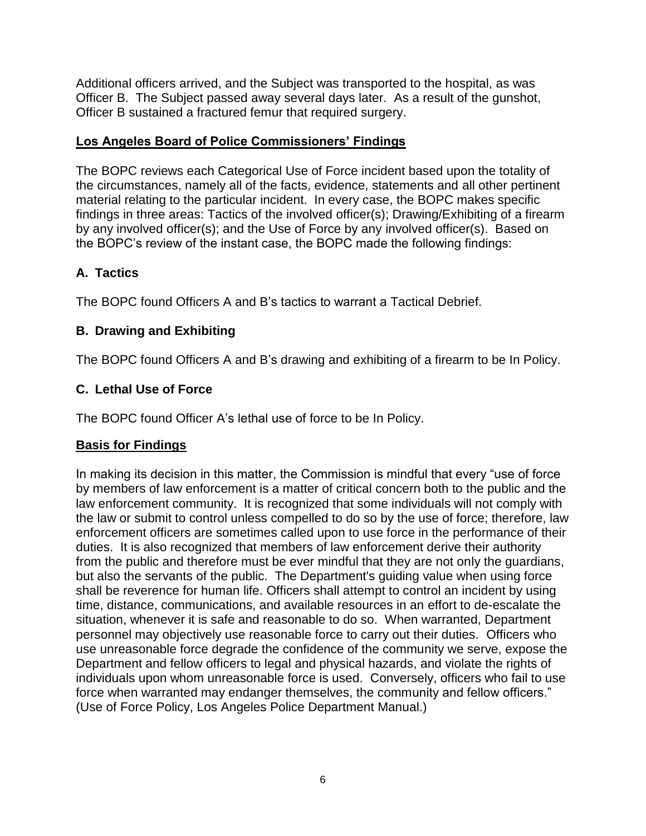Additional officers arrived, and the Subject was transported to the hospital, as was Officer B. The Subject passed away several days later. As a result of the gunshot, Officer B sustained a fractured femur that required surgery.

# **Los Angeles Board of Police Commissioners' Findings**

The BOPC reviews each Categorical Use of Force incident based upon the totality of the circumstances, namely all of the facts, evidence, statements and all other pertinent material relating to the particular incident. In every case, the BOPC makes specific findings in three areas: Tactics of the involved officer(s); Drawing/Exhibiting of a firearm by any involved officer(s); and the Use of Force by any involved officer(s). Based on the BOPC's review of the instant case, the BOPC made the following findings:

# **A. Tactics**

The BOPC found Officers A and B's tactics to warrant a Tactical Debrief.

# **B. Drawing and Exhibiting**

The BOPC found Officers A and B's drawing and exhibiting of a firearm to be In Policy.

# **C. Lethal Use of Force**

The BOPC found Officer A's lethal use of force to be In Policy.

# **Basis for Findings**

In making its decision in this matter, the Commission is mindful that every "use of force by members of law enforcement is a matter of critical concern both to the public and the law enforcement community. It is recognized that some individuals will not comply with the law or submit to control unless compelled to do so by the use of force; therefore, law enforcement officers are sometimes called upon to use force in the performance of their duties. It is also recognized that members of law enforcement derive their authority from the public and therefore must be ever mindful that they are not only the guardians, but also the servants of the public. The Department's guiding value when using force shall be reverence for human life. Officers shall attempt to control an incident by using time, distance, communications, and available resources in an effort to de-escalate the situation, whenever it is safe and reasonable to do so. When warranted, Department personnel may objectively use reasonable force to carry out their duties. Officers who use unreasonable force degrade the confidence of the community we serve, expose the Department and fellow officers to legal and physical hazards, and violate the rights of individuals upon whom unreasonable force is used. Conversely, officers who fail to use force when warranted may endanger themselves, the community and fellow officers." (Use of Force Policy, Los Angeles Police Department Manual.)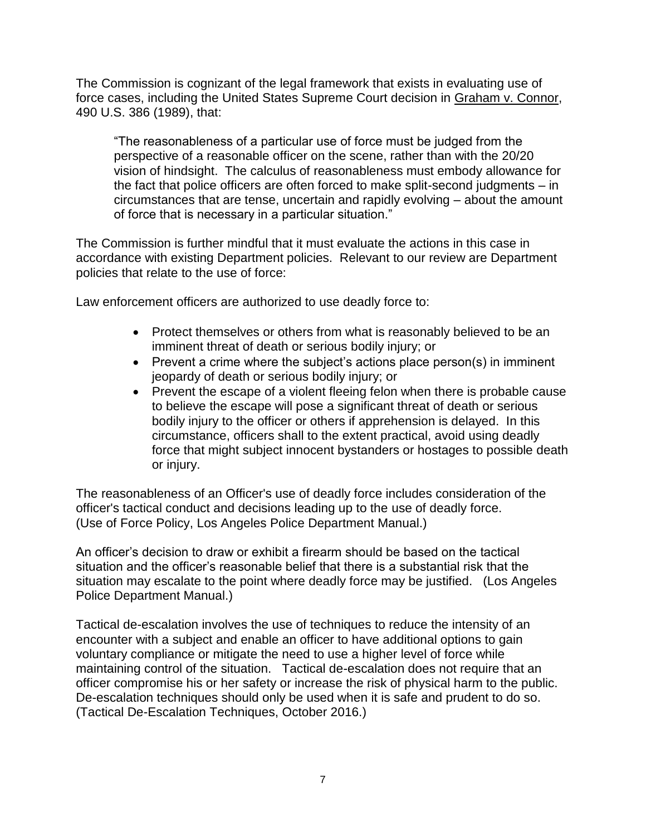The Commission is cognizant of the legal framework that exists in evaluating use of force cases, including the United States Supreme Court decision in Graham v. Connor, 490 U.S. 386 (1989), that:

"The reasonableness of a particular use of force must be judged from the perspective of a reasonable officer on the scene, rather than with the 20/20 vision of hindsight. The calculus of reasonableness must embody allowance for the fact that police officers are often forced to make split-second judgments – in circumstances that are tense, uncertain and rapidly evolving – about the amount of force that is necessary in a particular situation."

The Commission is further mindful that it must evaluate the actions in this case in accordance with existing Department policies. Relevant to our review are Department policies that relate to the use of force:

Law enforcement officers are authorized to use deadly force to:

- Protect themselves or others from what is reasonably believed to be an imminent threat of death or serious bodily injury; or
- Prevent a crime where the subject's actions place person(s) in imminent jeopardy of death or serious bodily injury; or
- Prevent the escape of a violent fleeing felon when there is probable cause to believe the escape will pose a significant threat of death or serious bodily injury to the officer or others if apprehension is delayed. In this circumstance, officers shall to the extent practical, avoid using deadly force that might subject innocent bystanders or hostages to possible death or injury.

The reasonableness of an Officer's use of deadly force includes consideration of the officer's tactical conduct and decisions leading up to the use of deadly force. (Use of Force Policy, Los Angeles Police Department Manual.)

An officer's decision to draw or exhibit a firearm should be based on the tactical situation and the officer's reasonable belief that there is a substantial risk that the situation may escalate to the point where deadly force may be justified. (Los Angeles Police Department Manual.)

Tactical de-escalation involves the use of techniques to reduce the intensity of an encounter with a subject and enable an officer to have additional options to gain voluntary compliance or mitigate the need to use a higher level of force while maintaining control of the situation. Tactical de-escalation does not require that an officer compromise his or her safety or increase the risk of physical harm to the public. De-escalation techniques should only be used when it is safe and prudent to do so. (Tactical De-Escalation Techniques, October 2016.)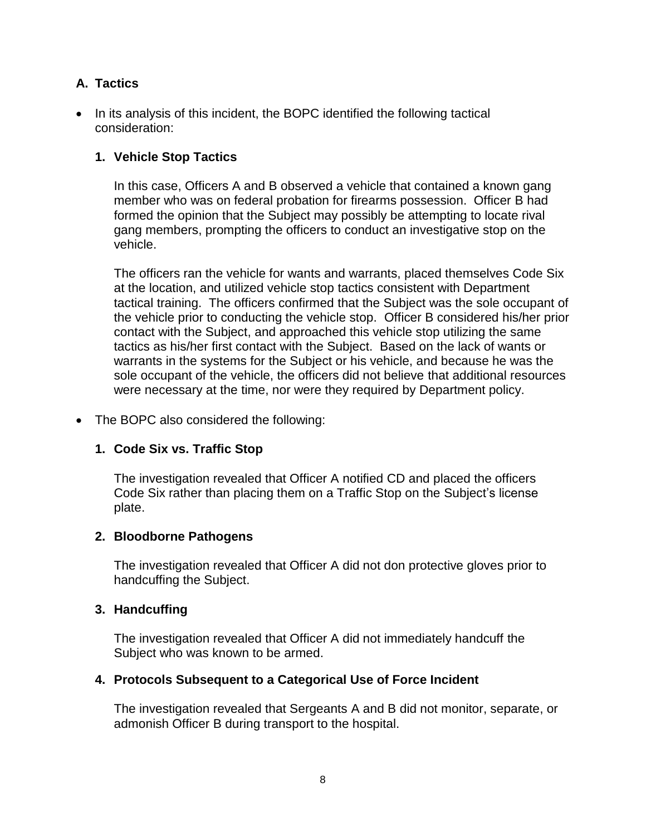# **A. Tactics**

• In its analysis of this incident, the BOPC identified the following tactical consideration:

## **1. Vehicle Stop Tactics**

In this case, Officers A and B observed a vehicle that contained a known gang member who was on federal probation for firearms possession. Officer B had formed the opinion that the Subject may possibly be attempting to locate rival gang members, prompting the officers to conduct an investigative stop on the vehicle.

The officers ran the vehicle for wants and warrants, placed themselves Code Six at the location, and utilized vehicle stop tactics consistent with Department tactical training. The officers confirmed that the Subject was the sole occupant of the vehicle prior to conducting the vehicle stop. Officer B considered his/her prior contact with the Subject, and approached this vehicle stop utilizing the same tactics as his/her first contact with the Subject. Based on the lack of wants or warrants in the systems for the Subject or his vehicle, and because he was the sole occupant of the vehicle, the officers did not believe that additional resources were necessary at the time, nor were they required by Department policy.

#### • The BOPC also considered the following:

#### **1. Code Six vs. Traffic Stop**

The investigation revealed that Officer A notified CD and placed the officers Code Six rather than placing them on a Traffic Stop on the Subject's license plate.

#### **2. Bloodborne Pathogens**

The investigation revealed that Officer A did not don protective gloves prior to handcuffing the Subject.

#### **3. Handcuffing**

The investigation revealed that Officer A did not immediately handcuff the Subject who was known to be armed.

#### **4. Protocols Subsequent to a Categorical Use of Force Incident**

The investigation revealed that Sergeants A and B did not monitor, separate, or admonish Officer B during transport to the hospital.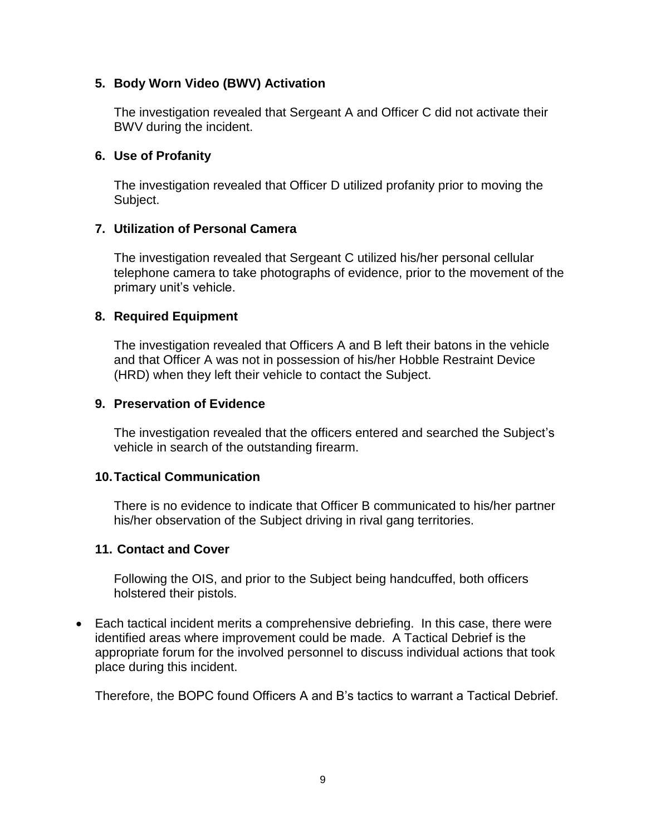## **5. Body Worn Video (BWV) Activation**

The investigation revealed that Sergeant A and Officer C did not activate their BWV during the incident.

#### **6. Use of Profanity**

The investigation revealed that Officer D utilized profanity prior to moving the Subject.

## **7. Utilization of Personal Camera**

The investigation revealed that Sergeant C utilized his/her personal cellular telephone camera to take photographs of evidence, prior to the movement of the primary unit's vehicle.

## **8. Required Equipment**

The investigation revealed that Officers A and B left their batons in the vehicle and that Officer A was not in possession of his/her Hobble Restraint Device (HRD) when they left their vehicle to contact the Subject.

#### **9. Preservation of Evidence**

The investigation revealed that the officers entered and searched the Subject's vehicle in search of the outstanding firearm.

#### **10.Tactical Communication**

There is no evidence to indicate that Officer B communicated to his/her partner his/her observation of the Subject driving in rival gang territories.

#### **11. Contact and Cover**

Following the OIS, and prior to the Subject being handcuffed, both officers holstered their pistols.

• Each tactical incident merits a comprehensive debriefing. In this case, there were identified areas where improvement could be made. A Tactical Debrief is the appropriate forum for the involved personnel to discuss individual actions that took place during this incident.

Therefore, the BOPC found Officers A and B's tactics to warrant a Tactical Debrief.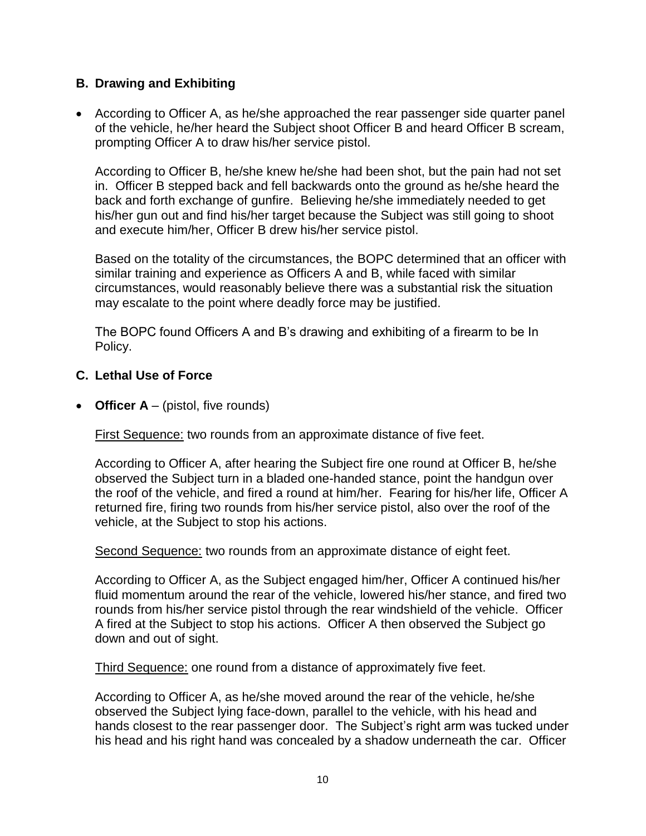### **B. Drawing and Exhibiting**

• According to Officer A, as he/she approached the rear passenger side quarter panel of the vehicle, he/her heard the Subject shoot Officer B and heard Officer B scream, prompting Officer A to draw his/her service pistol.

According to Officer B, he/she knew he/she had been shot, but the pain had not set in. Officer B stepped back and fell backwards onto the ground as he/she heard the back and forth exchange of gunfire. Believing he/she immediately needed to get his/her gun out and find his/her target because the Subject was still going to shoot and execute him/her, Officer B drew his/her service pistol.

Based on the totality of the circumstances, the BOPC determined that an officer with similar training and experience as Officers A and B, while faced with similar circumstances, would reasonably believe there was a substantial risk the situation may escalate to the point where deadly force may be justified.

The BOPC found Officers A and B's drawing and exhibiting of a firearm to be In Policy.

## **C. Lethal Use of Force**

• **Officer A** – (pistol, five rounds)

First Sequence: two rounds from an approximate distance of five feet.

According to Officer A, after hearing the Subject fire one round at Officer B, he/she observed the Subject turn in a bladed one-handed stance, point the handgun over the roof of the vehicle, and fired a round at him/her. Fearing for his/her life, Officer A returned fire, firing two rounds from his/her service pistol, also over the roof of the vehicle, at the Subject to stop his actions.

Second Sequence: two rounds from an approximate distance of eight feet.

According to Officer A, as the Subject engaged him/her, Officer A continued his/her fluid momentum around the rear of the vehicle, lowered his/her stance, and fired two rounds from his/her service pistol through the rear windshield of the vehicle. Officer A fired at the Subject to stop his actions. Officer A then observed the Subject go down and out of sight.

Third Sequence: one round from a distance of approximately five feet.

According to Officer A, as he/she moved around the rear of the vehicle, he/she observed the Subject lying face-down, parallel to the vehicle, with his head and hands closest to the rear passenger door. The Subject's right arm was tucked under his head and his right hand was concealed by a shadow underneath the car. Officer